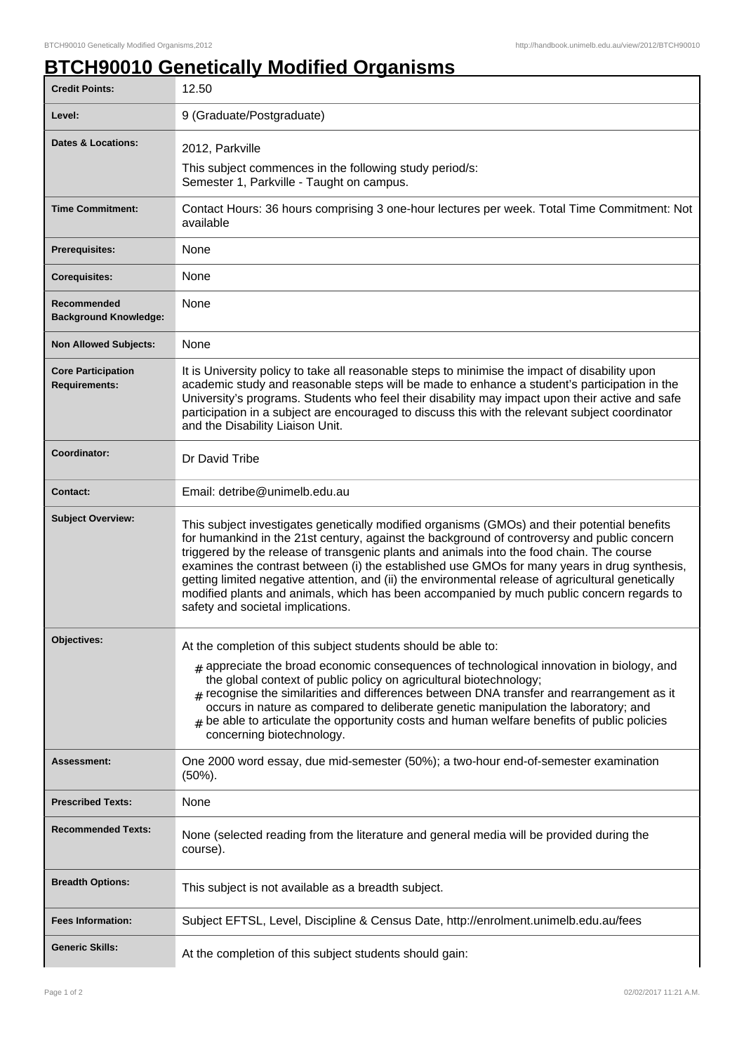## **BTCH90010 Genetically Modified Organisms**

| <b>Credit Points:</b>                             | 12.50                                                                                                                                                                                                                                                                                                                                                                                                                                                                                                                                                                                                                            |
|---------------------------------------------------|----------------------------------------------------------------------------------------------------------------------------------------------------------------------------------------------------------------------------------------------------------------------------------------------------------------------------------------------------------------------------------------------------------------------------------------------------------------------------------------------------------------------------------------------------------------------------------------------------------------------------------|
| Level:                                            | 9 (Graduate/Postgraduate)                                                                                                                                                                                                                                                                                                                                                                                                                                                                                                                                                                                                        |
| <b>Dates &amp; Locations:</b>                     | 2012, Parkville                                                                                                                                                                                                                                                                                                                                                                                                                                                                                                                                                                                                                  |
|                                                   | This subject commences in the following study period/s:<br>Semester 1, Parkville - Taught on campus.                                                                                                                                                                                                                                                                                                                                                                                                                                                                                                                             |
| <b>Time Commitment:</b>                           | Contact Hours: 36 hours comprising 3 one-hour lectures per week. Total Time Commitment: Not<br>available                                                                                                                                                                                                                                                                                                                                                                                                                                                                                                                         |
| <b>Prerequisites:</b>                             | None                                                                                                                                                                                                                                                                                                                                                                                                                                                                                                                                                                                                                             |
| <b>Corequisites:</b>                              | None                                                                                                                                                                                                                                                                                                                                                                                                                                                                                                                                                                                                                             |
| Recommended<br><b>Background Knowledge:</b>       | None                                                                                                                                                                                                                                                                                                                                                                                                                                                                                                                                                                                                                             |
| <b>Non Allowed Subjects:</b>                      | None                                                                                                                                                                                                                                                                                                                                                                                                                                                                                                                                                                                                                             |
| <b>Core Participation</b><br><b>Requirements:</b> | It is University policy to take all reasonable steps to minimise the impact of disability upon<br>academic study and reasonable steps will be made to enhance a student's participation in the<br>University's programs. Students who feel their disability may impact upon their active and safe<br>participation in a subject are encouraged to discuss this with the relevant subject coordinator<br>and the Disability Liaison Unit.                                                                                                                                                                                         |
| Coordinator:                                      | Dr David Tribe                                                                                                                                                                                                                                                                                                                                                                                                                                                                                                                                                                                                                   |
| <b>Contact:</b>                                   | Email: detribe@unimelb.edu.au                                                                                                                                                                                                                                                                                                                                                                                                                                                                                                                                                                                                    |
| <b>Subject Overview:</b>                          | This subject investigates genetically modified organisms (GMOs) and their potential benefits<br>for humankind in the 21st century, against the background of controversy and public concern<br>triggered by the release of transgenic plants and animals into the food chain. The course<br>examines the contrast between (i) the established use GMOs for many years in drug synthesis,<br>getting limited negative attention, and (ii) the environmental release of agricultural genetically<br>modified plants and animals, which has been accompanied by much public concern regards to<br>safety and societal implications. |
| Objectives:                                       | At the completion of this subject students should be able to:                                                                                                                                                                                                                                                                                                                                                                                                                                                                                                                                                                    |
|                                                   | $#$ appreciate the broad economic consequences of technological innovation in biology, and<br>the global context of public policy on agricultural biotechnology;<br>$#$ recognise the similarities and differences between DNA transfer and rearrangement as it<br>occurs in nature as compared to deliberate genetic manipulation the laboratory; and<br>be able to articulate the opportunity costs and human welfare benefits of public policies<br>concerning biotechnology.                                                                                                                                                 |
| Assessment:                                       | One 2000 word essay, due mid-semester (50%); a two-hour end-of-semester examination<br>$(50\%)$ .                                                                                                                                                                                                                                                                                                                                                                                                                                                                                                                                |
| <b>Prescribed Texts:</b>                          | None                                                                                                                                                                                                                                                                                                                                                                                                                                                                                                                                                                                                                             |
| <b>Recommended Texts:</b>                         | None (selected reading from the literature and general media will be provided during the<br>course).                                                                                                                                                                                                                                                                                                                                                                                                                                                                                                                             |
| <b>Breadth Options:</b>                           | This subject is not available as a breadth subject.                                                                                                                                                                                                                                                                                                                                                                                                                                                                                                                                                                              |
| <b>Fees Information:</b>                          | Subject EFTSL, Level, Discipline & Census Date, http://enrolment.unimelb.edu.au/fees                                                                                                                                                                                                                                                                                                                                                                                                                                                                                                                                             |
| <b>Generic Skills:</b>                            | At the completion of this subject students should gain:                                                                                                                                                                                                                                                                                                                                                                                                                                                                                                                                                                          |